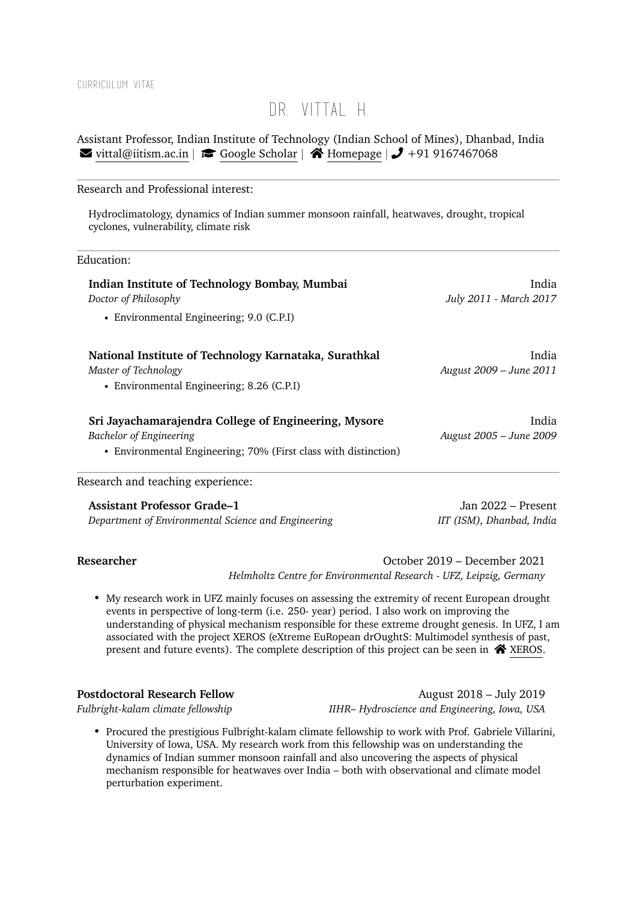### Curriculum Vitae

# DR. VITTAI H.

Assistant Professor, Indian Institute of Technology (Indian School of Mines), Dhanbad, India  $\blacktriangleright$  [vittal@iitism.ac.in](mailto:vittal@iitism.ac.in)  $| \blacktriangleright \text{Google Scholar} | \blacktriangleleft \text{Homepage} | \blacktriangleright \text{491 9167467068}$  $| \blacktriangleright \text{Google Scholar} | \blacktriangleleft \text{Homepage} | \blacktriangleright \text{491 9167467068}$  $| \blacktriangleright \text{Google Scholar} | \blacktriangleleft \text{Homepage} | \blacktriangleright \text{491 9167467068}$  $| \blacktriangleright \text{Google Scholar} | \blacktriangleleft \text{Homepage} | \blacktriangleright \text{491 9167467068}$  $| \blacktriangleright \text{Google Scholar} | \blacktriangleleft \text{Homepage} | \blacktriangleright \text{491 9167467068}$ 

### Research and Professional interest:

Hydroclimatology, dynamics of Indian summer monsoon rainfall, heatwaves, drought, tropical cyclones, vulnerability, climate risk

### Education:

| Indian Institute of Technology Bombay, Mumbai<br>Doctor of Philosophy                                                                              | India<br>July 2011 - March 2017  |
|----------------------------------------------------------------------------------------------------------------------------------------------------|----------------------------------|
| • Environmental Engineering; 9.0 (C.P.I)                                                                                                           |                                  |
| National Institute of Technology Karnataka, Surathkal<br>Master of Technology<br>• Environmental Engineering; 8.26 (C.P.I)                         | India<br>August 2009 - June 2011 |
| Sri Jayachamarajendra College of Engineering, Mysore<br>Bachelor of Engineering<br>• Environmental Engineering; 70% (First class with distinction) | India<br>August 2005 – June 2009 |
| locaarah and tooghing experience:                                                                                                                  |                                  |

Research and teaching experience:

**Assistant Professor Grade–1** Jan 2022 – Present *Department of Environmental Science and Engineering IIT (ISM), Dhanbad, India*

**Researcher** October 2019 – December 2021 *Helmholtz Centre for Environmental Research - UFZ, Leipzig, Germany*

• My research work in UFZ mainly focuses on assessing the extremity of recent European drought events in perspective of long-term (i.e. 250- year) period. I also work on improving the understanding of physical mechanism responsible for these extreme drought genesis. In UFZ, I am associated with the project XEROS (eXtreme EuRopean drOughtS: Multimodel synthesis of past, present and future events). The complete description of this project can be seen in  $\bigtriangleup$  [XEROS.](https://www.ufz.de/index.php?en=46703)

**Postdoctoral Research Fellow** August 2018 – July 2019 *Fulbright-kalam climate fellowship IIHR– Hydroscience and Engineering, Iowa, USA*

• Procured the prestigious Fulbright-kalam climate fellowship to work with Prof. Gabriele Villarini, University of Iowa, USA. My research work from this fellowship was on understanding the dynamics of Indian summer monsoon rainfall and also uncovering the aspects of physical mechanism responsible for heatwaves over India – both with observational and climate model perturbation experiment.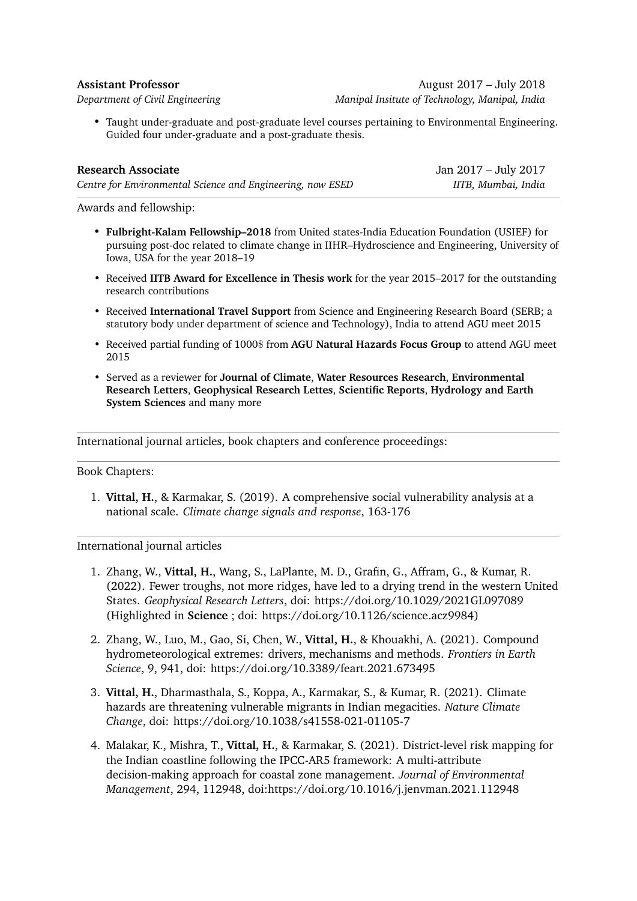**Assistant Professor** August 2017 – July 2018 *Department of Civil Engineering Manipal Insitute of Technology, Manipal, India*

• Taught under-graduate and post-graduate level courses pertaining to Environmental Engineering. Guided four under-graduate and a post-graduate thesis.

| <b>Research Associate</b>                                  | Jan 2017 – July 2017 |
|------------------------------------------------------------|----------------------|
| Centre for Environmental Science and Engineering, now ESED | IITB, Mumbai, India  |

Awards and fellowship:

- **Fulbright-Kalam Fellowship–2018** from United states-India Education Foundation (USIEF) for pursuing post-doc related to climate change in IIHR–Hydroscience and Engineering, University of Iowa, USA for the year 2018–19
- Received **IITB Award for Excellence in Thesis work** for the year 2015–2017 for the outstanding research contributions
- Received **International Travel Support** from Science and Engineering Research Board (SERB; a statutory body under department of science and Technology), India to attend AGU meet 2015
- Received partial funding of 1000\$ from **AGU Natural Hazards Focus Group** to attend AGU meet 2015
- Served as a reviewer for **Journal of Climate**, **Water Resources Research**, **Environmental Research Letters**, **Geophysical Research Lettes**, **Scientific Reports**, **Hydrology and Earth System Sciences** and many more

International journal articles, book chapters and conference proceedings:

Book Chapters:

1. **Vittal, H.**, & Karmakar, S. (2019). A comprehensive social vulnerability analysis at a national scale. *Climate change signals and response*, 163-176

International journal articles

- 1. Zhang, W., **Vittal, H.**, Wang, S., LaPlante, M. D., Grafin, G., Affram, G., & Kumar, R. (2022). Fewer troughs, not more ridges, have led to a drying trend in the western United States. *Geophysical Research Letters*, doi: https://doi.org/10.1029/2021GL097089 (Highlighted in **Science** ; doi: https://doi.org/10.1126/science.acz9984)
- 2. Zhang, W., Luo, M., Gao, Si, Chen, W., **Vittal, H.**, & Khouakhi, A. (2021). Compound hydrometeorological extremes: drivers, mechanisms and methods. *Frontiers in Earth Science*, 9, 941, doi: https://doi.org/10.3389/feart.2021.673495
- 3. **Vittal, H.**, Dharmasthala, S., Koppa, A., Karmakar, S., & Kumar, R. (2021). Climate hazards are threatening vulnerable migrants in Indian megacities. *Nature Climate Change*, doi: https://doi.org/10.1038/s41558-021-01105-7
- 4. Malakar, K., Mishra, T., **Vittal, H.**, & Karmakar, S. (2021). District-level risk mapping for the Indian coastline following the IPCC-AR5 framework: A multi-attribute decision-making approach for coastal zone management. *Journal of Environmental Management*, 294, 112948, doi[:https://doi.org/10.1016/j.jenvman.2021.112948](https://doi.org/10.1016/j.jenvman.2021.112948)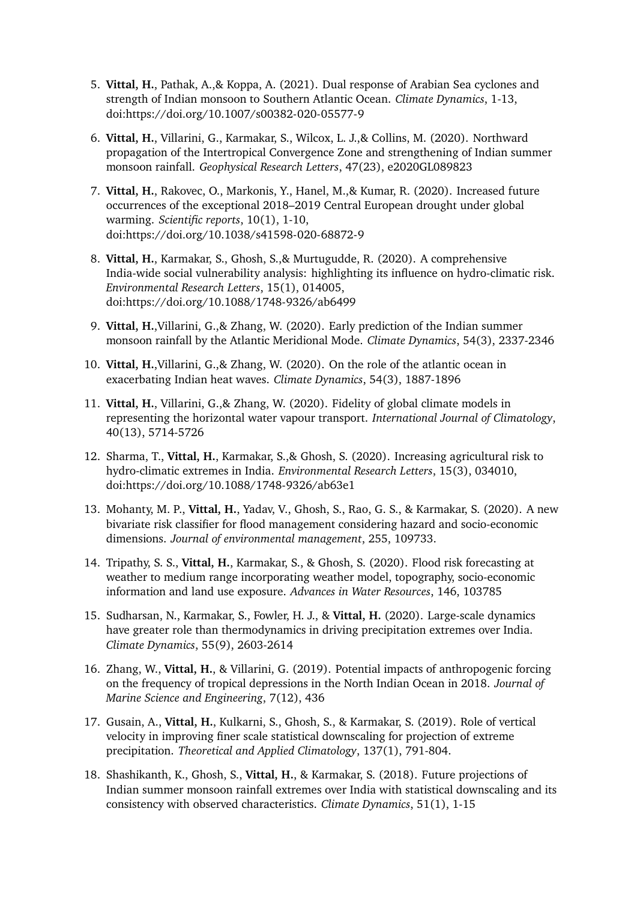- 5. **Vittal, H.**, Pathak, A.,& Koppa, A. (2021). Dual response of Arabian Sea cyclones and strength of Indian monsoon to Southern Atlantic Ocean. *Climate Dynamics*, 1-13, doi:<https://doi.org/10.1007/s00382-020-05577-9>
- 6. **Vittal, H.**, Villarini, G., Karmakar, S., Wilcox, L. J.,& Collins, M. (2020). Northward propagation of the Intertropical Convergence Zone and strengthening of Indian summer monsoon rainfall. *Geophysical Research Letters*, 47(23), e2020GL089823
- 7. **Vittal, H.**, Rakovec, O., Markonis, Y., Hanel, M.,& Kumar, R. (2020). Increased future occurrences of the exceptional 2018–2019 Central European drought under global warming. *Scientific reports*, 10(1), 1-10, doi:<https://doi.org/10.1038/s41598-020-68872-9>
- 8. **Vittal, H.**, Karmakar, S., Ghosh, S.,& Murtugudde, R. (2020). A comprehensive India-wide social vulnerability analysis: highlighting its influence on hydro-climatic risk. *Environmental Research Letters*, 15(1), 014005, doi:<https://doi.org/10.1088/1748-9326/ab6499>
- 9. **Vittal, H.**,Villarini, G.,& Zhang, W. (2020). Early prediction of the Indian summer monsoon rainfall by the Atlantic Meridional Mode. *Climate Dynamics*, 54(3), 2337-2346
- 10. **Vittal, H.**,Villarini, G.,& Zhang, W. (2020). On the role of the atlantic ocean in exacerbating Indian heat waves. *Climate Dynamics*, 54(3), 1887-1896
- 11. **Vittal, H.**, Villarini, G.,& Zhang, W. (2020). Fidelity of global climate models in representing the horizontal water vapour transport. *International Journal of Climatology*, 40(13), 5714-5726
- 12. Sharma, T., **Vittal, H.**, Karmakar, S.,& Ghosh, S. (2020). Increasing agricultural risk to hydro-climatic extremes in India. *Environmental Research Letters*, 15(3), 034010, doi:<https://doi.org/10.1088/1748-9326/ab63e1>
- 13. Mohanty, M. P., **Vittal, H.**, Yadav, V., Ghosh, S., Rao, G. S., & Karmakar, S. (2020). A new bivariate risk classifier for flood management considering hazard and socio-economic dimensions. *Journal of environmental management*, 255, 109733.
- 14. Tripathy, S. S., **Vittal, H.**, Karmakar, S., & Ghosh, S. (2020). Flood risk forecasting at weather to medium range incorporating weather model, topography, socio-economic information and land use exposure. *Advances in Water Resources*, 146, 103785
- 15. Sudharsan, N., Karmakar, S., Fowler, H. J., & **Vittal, H.** (2020). Large-scale dynamics have greater role than thermodynamics in driving precipitation extremes over India. *Climate Dynamics*, 55(9), 2603-2614
- 16. Zhang, W., **Vittal, H.**, & Villarini, G. (2019). Potential impacts of anthropogenic forcing on the frequency of tropical depressions in the North Indian Ocean in 2018. *Journal of Marine Science and Engineering*, 7(12), 436
- 17. Gusain, A., **Vittal, H.**, Kulkarni, S., Ghosh, S., & Karmakar, S. (2019). Role of vertical velocity in improving finer scale statistical downscaling for projection of extreme precipitation. *Theoretical and Applied Climatology*, 137(1), 791-804.
- 18. Shashikanth, K., Ghosh, S., **Vittal, H.**, & Karmakar, S. (2018). Future projections of Indian summer monsoon rainfall extremes over India with statistical downscaling and its consistency with observed characteristics. *Climate Dynamics*, 51(1), 1-15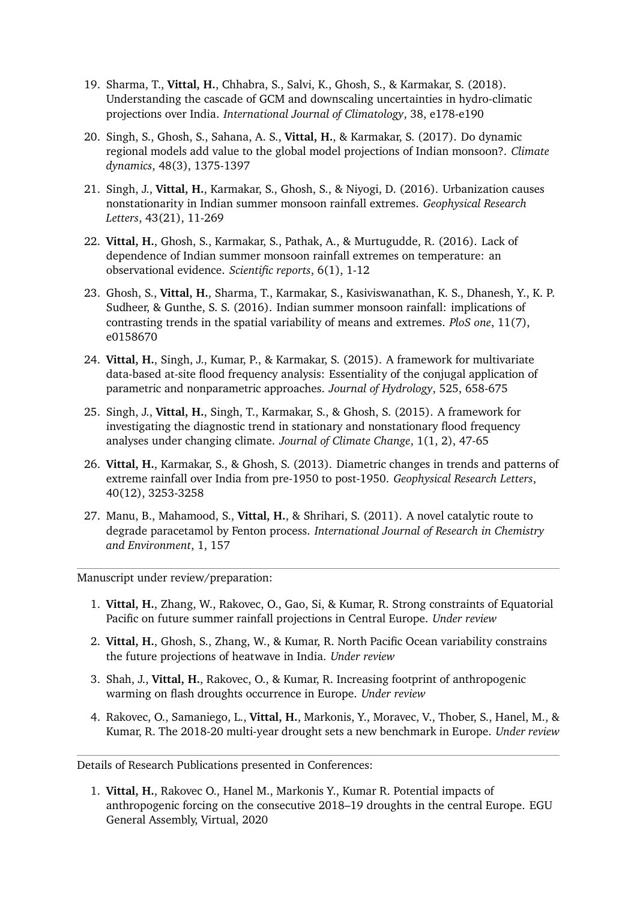- 19. Sharma, T., **Vittal, H.**, Chhabra, S., Salvi, K., Ghosh, S., & Karmakar, S. (2018). Understanding the cascade of GCM and downscaling uncertainties in hydro‐climatic projections over India. *International Journal of Climatology*, 38, e178-e190
- 20. Singh, S., Ghosh, S., Sahana, A. S., **Vittal, H.**, & Karmakar, S. (2017). Do dynamic regional models add value to the global model projections of Indian monsoon?. *Climate dynamics*, 48(3), 1375-1397
- 21. Singh, J., **Vittal, H.**, Karmakar, S., Ghosh, S., & Niyogi, D. (2016). Urbanization causes nonstationarity in Indian summer monsoon rainfall extremes. *Geophysical Research Letters*, 43(21), 11-269
- 22. **Vittal, H.**, Ghosh, S., Karmakar, S., Pathak, A., & Murtugudde, R. (2016). Lack of dependence of Indian summer monsoon rainfall extremes on temperature: an observational evidence. *Scientific reports*, 6(1), 1-12
- 23. Ghosh, S., **Vittal, H.**, Sharma, T., Karmakar, S., Kasiviswanathan, K. S., Dhanesh, Y., K. P. Sudheer, & Gunthe, S. S. (2016). Indian summer monsoon rainfall: implications of contrasting trends in the spatial variability of means and extremes. *PloS one*, 11(7), e0158670
- 24. **Vittal, H.**, Singh, J., Kumar, P., & Karmakar, S. (2015). A framework for multivariate data-based at-site flood frequency analysis: Essentiality of the conjugal application of parametric and nonparametric approaches. *Journal of Hydrology*, 525, 658-675
- 25. Singh, J., **Vittal, H.**, Singh, T., Karmakar, S., & Ghosh, S. (2015). A framework for investigating the diagnostic trend in stationary and nonstationary flood frequency analyses under changing climate. *Journal of Climate Change*, 1(1, 2), 47-65
- 26. **Vittal, H.**, Karmakar, S., & Ghosh, S. (2013). Diametric changes in trends and patterns of extreme rainfall over India from pre‐1950 to post‐1950. *Geophysical Research Letters*, 40(12), 3253-3258
- 27. Manu, B., Mahamood, S., **Vittal, H.**, & Shrihari, S. (2011). A novel catalytic route to degrade paracetamol by Fenton process. *International Journal of Research in Chemistry and Environment*, 1, 157

Manuscript under review/preparation:

- 1. **Vittal, H.**, Zhang, W., Rakovec, O., Gao, Si, & Kumar, R. Strong constraints of Equatorial Pacific on future summer rainfall projections in Central Europe. *Under review*
- 2. **Vittal, H.**, Ghosh, S., Zhang, W., & Kumar, R. North Pacific Ocean variability constrains the future projections of heatwave in India. *Under review*
- 3. Shah, J., **Vittal, H.**, Rakovec, O., & Kumar, R. Increasing footprint of anthropogenic warming on flash droughts occurrence in Europe. *Under review*
- 4. Rakovec, O., Samaniego, L., **Vittal, H.**, Markonis, Y., Moravec, V., Thober, S., Hanel, M., & Kumar, R. The 2018-20 multi-year drought sets a new benchmark in Europe. *Under review*

Details of Research Publications presented in Conferences:

1. **Vittal, H.**, Rakovec O., Hanel M., Markonis Y., Kumar R. Potential impacts of anthropogenic forcing on the consecutive 2018–19 droughts in the central Europe. EGU General Assembly, Virtual, 2020